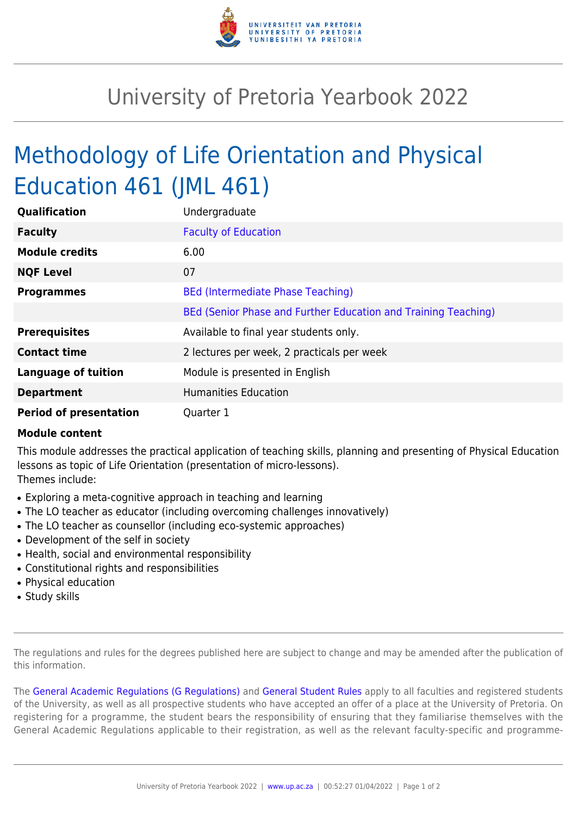

## University of Pretoria Yearbook 2022

## Methodology of Life Orientation and Physical Education 461 (JML 461)

| Qualification                 | Undergraduate                                                  |
|-------------------------------|----------------------------------------------------------------|
| <b>Faculty</b>                | <b>Faculty of Education</b>                                    |
| <b>Module credits</b>         | 6.00                                                           |
| <b>NQF Level</b>              | 07                                                             |
| <b>Programmes</b>             | BEd (Intermediate Phase Teaching)                              |
|                               | BEd (Senior Phase and Further Education and Training Teaching) |
| <b>Prerequisites</b>          | Available to final year students only.                         |
| <b>Contact time</b>           | 2 lectures per week, 2 practicals per week                     |
| <b>Language of tuition</b>    | Module is presented in English                                 |
| <b>Department</b>             | <b>Humanities Education</b>                                    |
| <b>Period of presentation</b> | Quarter 1                                                      |

## **Module content**

This module addresses the practical application of teaching skills, planning and presenting of Physical Education lessons as topic of Life Orientation (presentation of micro-lessons). Themes include:

- Exploring a meta-cognitive approach in teaching and learning
- The LO teacher as educator (including overcoming challenges innovatively)
- The LO teacher as counsellor (including eco-systemic approaches)
- Development of the self in society
- Health, social and environmental responsibility
- Constitutional rights and responsibilities
- Physical education
- Study skills

The regulations and rules for the degrees published here are subject to change and may be amended after the publication of this information.

The [General Academic Regulations \(G Regulations\)](https://www.up.ac.za/faculty-of-education/yearbooks/2022/rules/view/REG) and [General Student Rules](https://www.up.ac.za/faculty-of-education/yearbooks/2022/rules/view/RUL) apply to all faculties and registered students of the University, as well as all prospective students who have accepted an offer of a place at the University of Pretoria. On registering for a programme, the student bears the responsibility of ensuring that they familiarise themselves with the General Academic Regulations applicable to their registration, as well as the relevant faculty-specific and programme-